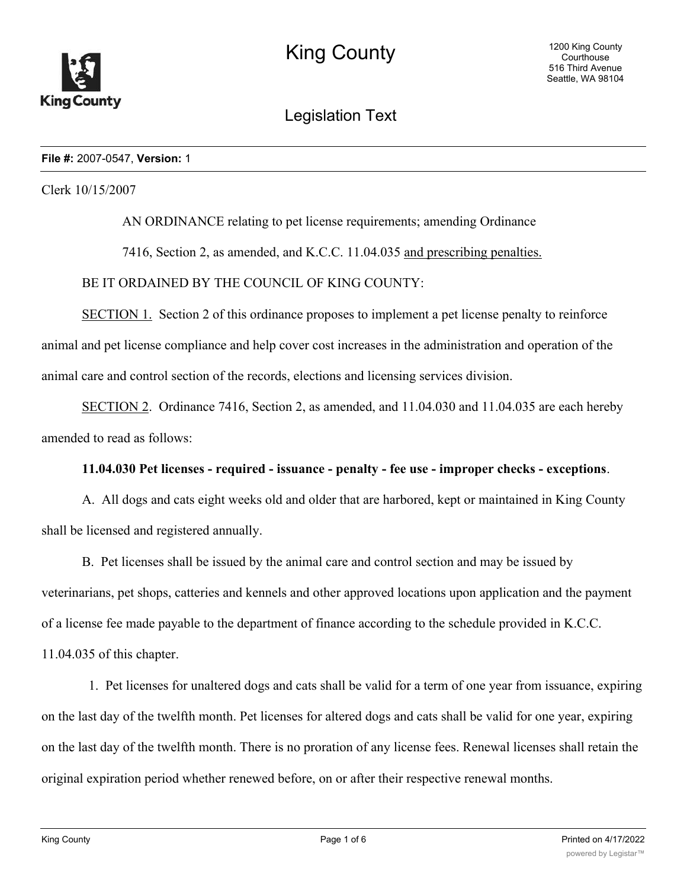

Legislation Text

### **File #:** 2007-0547, **Version:** 1

Clerk 10/15/2007

AN ORDINANCE relating to pet license requirements; amending Ordinance

7416, Section 2, as amended, and K.C.C. 11.04.035 and prescribing penalties.

BE IT ORDAINED BY THE COUNCIL OF KING COUNTY:

SECTION 1. Section 2 of this ordinance proposes to implement a pet license penalty to reinforce animal and pet license compliance and help cover cost increases in the administration and operation of the animal care and control section of the records, elections and licensing services division.

SECTION 2. Ordinance 7416, Section 2, as amended, and 11.04.030 and 11.04.035 are each hereby amended to read as follows:

### **11.04.030 Pet licenses - required - issuance - penalty - fee use - improper checks - exceptions**.

A. All dogs and cats eight weeks old and older that are harbored, kept or maintained in King County shall be licensed and registered annually.

B. Pet licenses shall be issued by the animal care and control section and may be issued by veterinarians, pet shops, catteries and kennels and other approved locations upon application and the payment of a license fee made payable to the department of finance according to the schedule provided in K.C.C.

11.04.035 of this chapter.

 1. Pet licenses for unaltered dogs and cats shall be valid for a term of one year from issuance, expiring on the last day of the twelfth month. Pet licenses for altered dogs and cats shall be valid for one year, expiring on the last day of the twelfth month. There is no proration of any license fees. Renewal licenses shall retain the original expiration period whether renewed before, on or after their respective renewal months.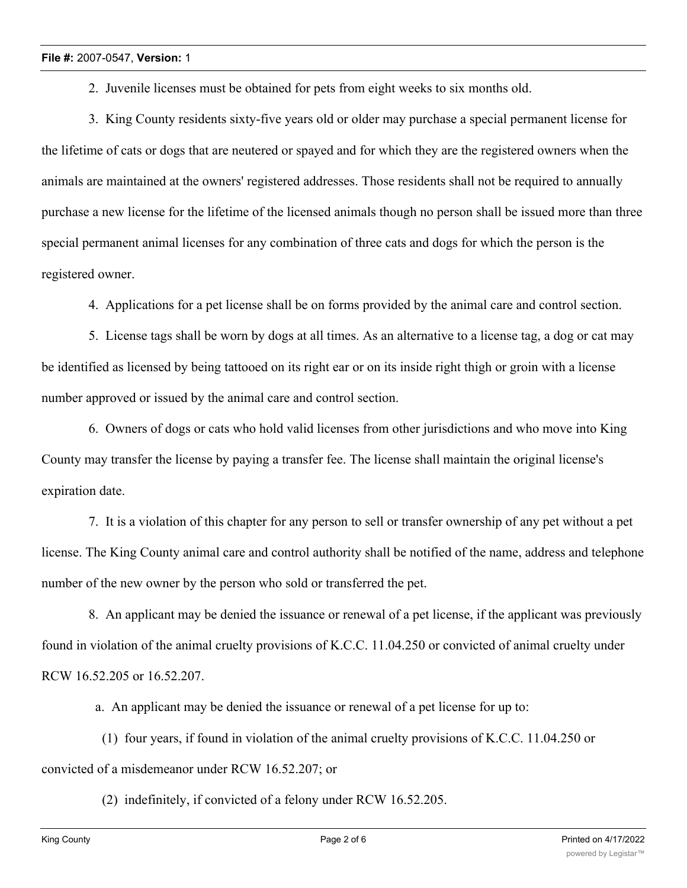2. Juvenile licenses must be obtained for pets from eight weeks to six months old.

 3. King County residents sixty-five years old or older may purchase a special permanent license for the lifetime of cats or dogs that are neutered or spayed and for which they are the registered owners when the animals are maintained at the owners' registered addresses. Those residents shall not be required to annually purchase a new license for the lifetime of the licensed animals though no person shall be issued more than three special permanent animal licenses for any combination of three cats and dogs for which the person is the registered owner.

4. Applications for a pet license shall be on forms provided by the animal care and control section.

 5. License tags shall be worn by dogs at all times. As an alternative to a license tag, a dog or cat may be identified as licensed by being tattooed on its right ear or on its inside right thigh or groin with a license number approved or issued by the animal care and control section.

 6. Owners of dogs or cats who hold valid licenses from other jurisdictions and who move into King County may transfer the license by paying a transfer fee. The license shall maintain the original license's expiration date.

 7. It is a violation of this chapter for any person to sell or transfer ownership of any pet without a pet license. The King County animal care and control authority shall be notified of the name, address and telephone number of the new owner by the person who sold or transferred the pet.

 8. An applicant may be denied the issuance or renewal of a pet license, if the applicant was previously found in violation of the animal cruelty provisions of K.C.C. 11.04.250 or convicted of animal cruelty under RCW 16.52.205 or 16.52.207.

a. An applicant may be denied the issuance or renewal of a pet license for up to:

 (1) four years, if found in violation of the animal cruelty provisions of K.C.C. 11.04.250 or convicted of a misdemeanor under RCW 16.52.207; or

(2) indefinitely, if convicted of a felony under RCW 16.52.205.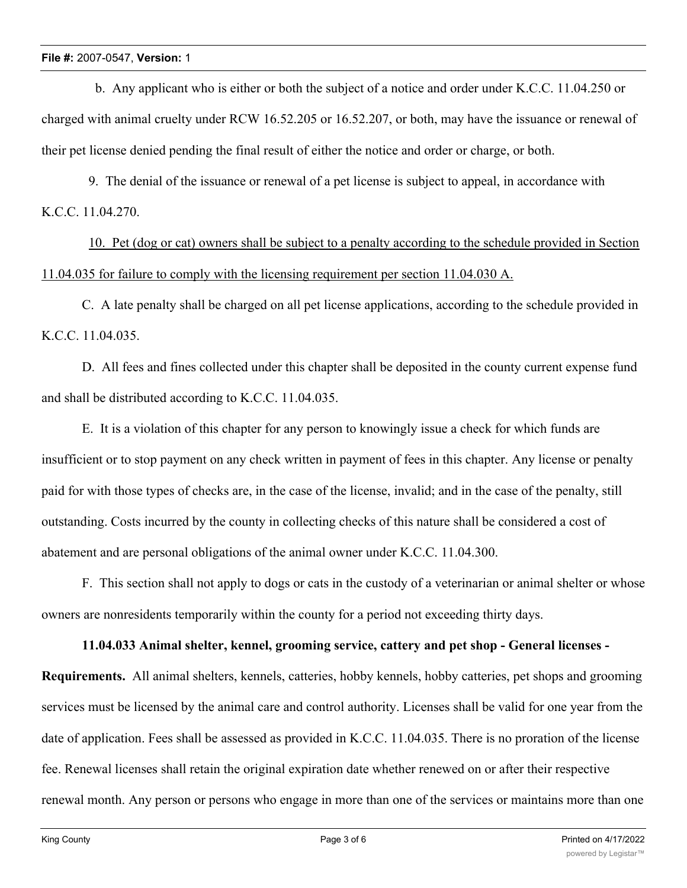b. Any applicant who is either or both the subject of a notice and order under K.C.C. 11.04.250 or charged with animal cruelty under RCW 16.52.205 or 16.52.207, or both, may have the issuance or renewal of their pet license denied pending the final result of either the notice and order or charge, or both.

 9. The denial of the issuance or renewal of a pet license is subject to appeal, in accordance with K.C.C. 11.04.270.

10. Pet (dog or cat) owners shall be subject to a penalty according to the schedule provided in Section 11.04.035 for failure to comply with the licensing requirement per section 11.04.030 A.

C. A late penalty shall be charged on all pet license applications, according to the schedule provided in K.C.C. 11.04.035.

D. All fees and fines collected under this chapter shall be deposited in the county current expense fund and shall be distributed according to K.C.C. 11.04.035.

E. It is a violation of this chapter for any person to knowingly issue a check for which funds are insufficient or to stop payment on any check written in payment of fees in this chapter. Any license or penalty paid for with those types of checks are, in the case of the license, invalid; and in the case of the penalty, still outstanding. Costs incurred by the county in collecting checks of this nature shall be considered a cost of abatement and are personal obligations of the animal owner under K.C.C. 11.04.300.

F. This section shall not apply to dogs or cats in the custody of a veterinarian or animal shelter or whose owners are nonresidents temporarily within the county for a period not exceeding thirty days.

# **11.04.033 Animal shelter, kennel, grooming service, cattery and pet shop - General licenses -**

**Requirements.** All animal shelters, kennels, catteries, hobby kennels, hobby catteries, pet shops and grooming services must be licensed by the animal care and control authority. Licenses shall be valid for one year from the date of application. Fees shall be assessed as provided in K.C.C. 11.04.035. There is no proration of the license fee. Renewal licenses shall retain the original expiration date whether renewed on or after their respective renewal month. Any person or persons who engage in more than one of the services or maintains more than one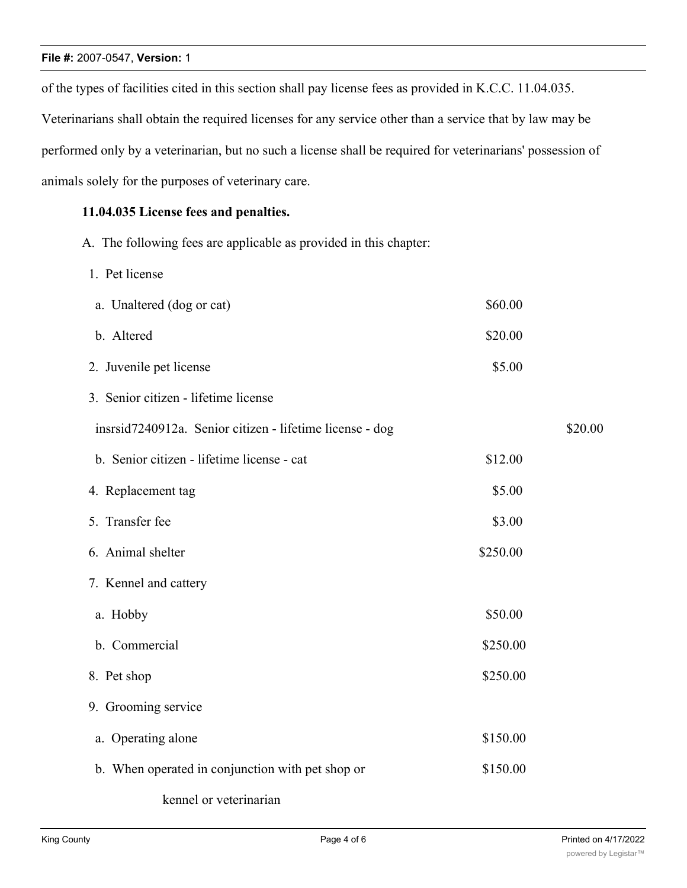# **File #:** 2007-0547, **Version:** 1

of the types of facilities cited in this section shall pay license fees as provided in K.C.C. 11.04.035. Veterinarians shall obtain the required licenses for any service other than a service that by law may be performed only by a veterinarian, but no such a license shall be required for veterinarians' possession of animals solely for the purposes of veterinary care.

# **11.04.035 License fees and penalties.**

A. The following fees are applicable as provided in this chapter:

1. Pet license

| a. Unaltered (dog or cat)                                | \$60.00  |         |
|----------------------------------------------------------|----------|---------|
| b. Altered                                               | \$20.00  |         |
| 2. Juvenile pet license                                  | \$5.00   |         |
| 3. Senior citizen - lifetime license                     |          |         |
| insrsid7240912a. Senior citizen - lifetime license - dog |          | \$20.00 |
| b. Senior citizen - lifetime license - cat               | \$12.00  |         |
| 4. Replacement tag                                       | \$5.00   |         |
| 5. Transfer fee                                          | \$3.00   |         |
| 6. Animal shelter                                        | \$250.00 |         |
| 7. Kennel and cattery                                    |          |         |
| a. Hobby                                                 | \$50.00  |         |
| b. Commercial                                            | \$250.00 |         |
| 8. Pet shop                                              | \$250.00 |         |
| 9. Grooming service                                      |          |         |
| a. Operating alone                                       | \$150.00 |         |
| b. When operated in conjunction with pet shop or         | \$150.00 |         |
|                                                          |          |         |

kennel or veterinarian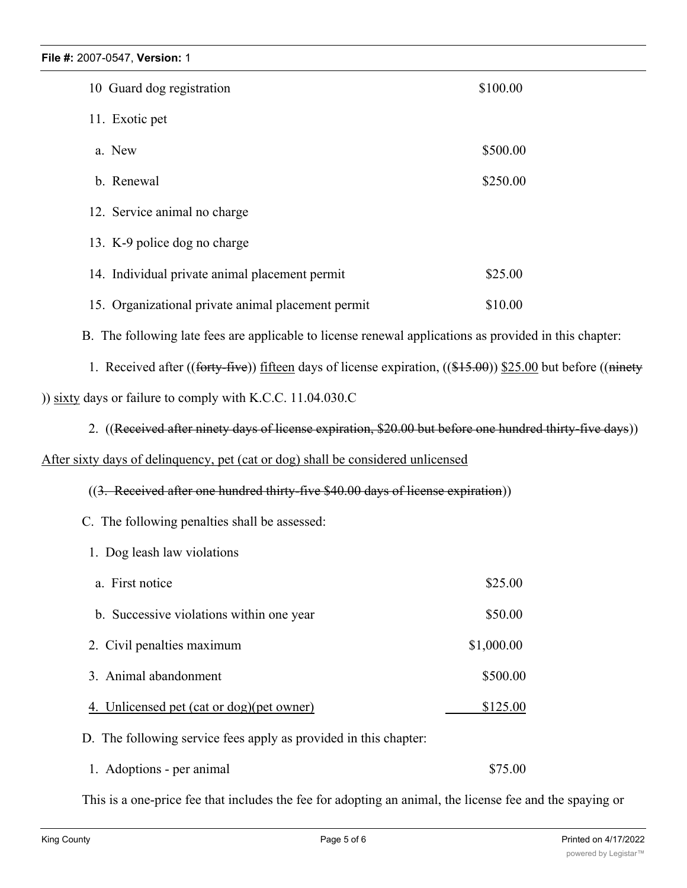| FII <del>C</del> #. ZUU <i>I</i> -UJ47, VEISIUII. T                                                              |            |  |
|------------------------------------------------------------------------------------------------------------------|------------|--|
| 10 Guard dog registration                                                                                        | \$100.00   |  |
| 11. Exotic pet                                                                                                   |            |  |
| a. New                                                                                                           | \$500.00   |  |
| b. Renewal                                                                                                       | \$250.00   |  |
| 12. Service animal no charge                                                                                     |            |  |
| 13. K-9 police dog no charge                                                                                     |            |  |
| 14. Individual private animal placement permit                                                                   | \$25.00    |  |
| 15. Organizational private animal placement permit                                                               | \$10.00    |  |
| B. The following late fees are applicable to license renewal applications as provided in this chapter:           |            |  |
| 1. Received after ((forty-five)) fifteen days of license expiration, ( $(\$15.00)$ ) \$25.00 but before ((ninety |            |  |
| )) sixty days or failure to comply with K.C.C. $11.04.030$ .C                                                    |            |  |
| 2. ((Received after ninety days of license expiration, \$20.00 but before one hundred thirty-five days))         |            |  |
| After sixty days of delinquency, pet (cat or dog) shall be considered unlicensed                                 |            |  |
| ((3. Received after one hundred thirty-five \$40.00 days of license expiration))                                 |            |  |
| C. The following penalties shall be assessed:                                                                    |            |  |
| 1. Dog leash law violations                                                                                      |            |  |
| a. First notice                                                                                                  | \$25.00    |  |
| b. Successive violations within one year                                                                         | \$50.00    |  |
| 2. Civil penalties maximum                                                                                       | \$1,000.00 |  |
| 3. Animal abandonment                                                                                            | \$500.00   |  |
| 4. Unlicensed pet (cat or dog)(pet owner)                                                                        | \$125.00   |  |
| D. The following service fees apply as provided in this chapter:                                                 |            |  |

1. Adoptions - per animal \$75.00

This is a one-price fee that includes the fee for adopting an animal, the license fee and the spaying or